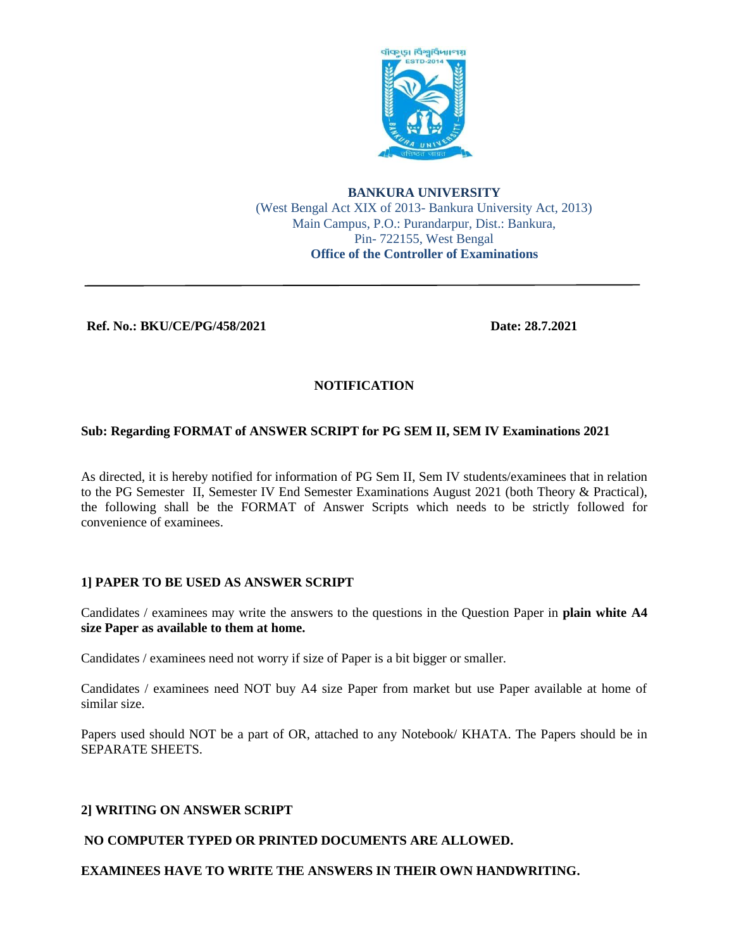

### **BANKURA UNIVERSITY** (West Bengal Act XIX of 2013- Bankura University Act, 2013) Main Campus, P.O.: Purandarpur, Dist.: Bankura, Pin- 722155, West Bengal **Office of the Controller of Examinations**

### **Ref. No.: BKU/CE/PG/458/2021 Date: 28.7.2021**

# **NOTIFICATION**

## **Sub: Regarding FORMAT of ANSWER SCRIPT for PG SEM II, SEM IV Examinations 2021**

As directed, it is hereby notified for information of PG Sem II, Sem IV students/examinees that in relation to the PG Semester II, Semester IV End Semester Examinations August 2021 (both Theory & Practical), the following shall be the FORMAT of Answer Scripts which needs to be strictly followed for convenience of examinees.

## **1] PAPER TO BE USED AS ANSWER SCRIPT**

Candidates / examinees may write the answers to the questions in the Question Paper in **plain white A4 size Paper as available to them at home.**

Candidates / examinees need not worry if size of Paper is a bit bigger or smaller.

Candidates / examinees need NOT buy A4 size Paper from market but use Paper available at home of similar size.

Papers used should NOT be a part of OR, attached to any Notebook/ KHATA. The Papers should be in SEPARATE SHEETS.

## **2] WRITING ON ANSWER SCRIPT**

## **NO COMPUTER TYPED OR PRINTED DOCUMENTS ARE ALLOWED.**

### **EXAMINEES HAVE TO WRITE THE ANSWERS IN THEIR OWN HANDWRITING.**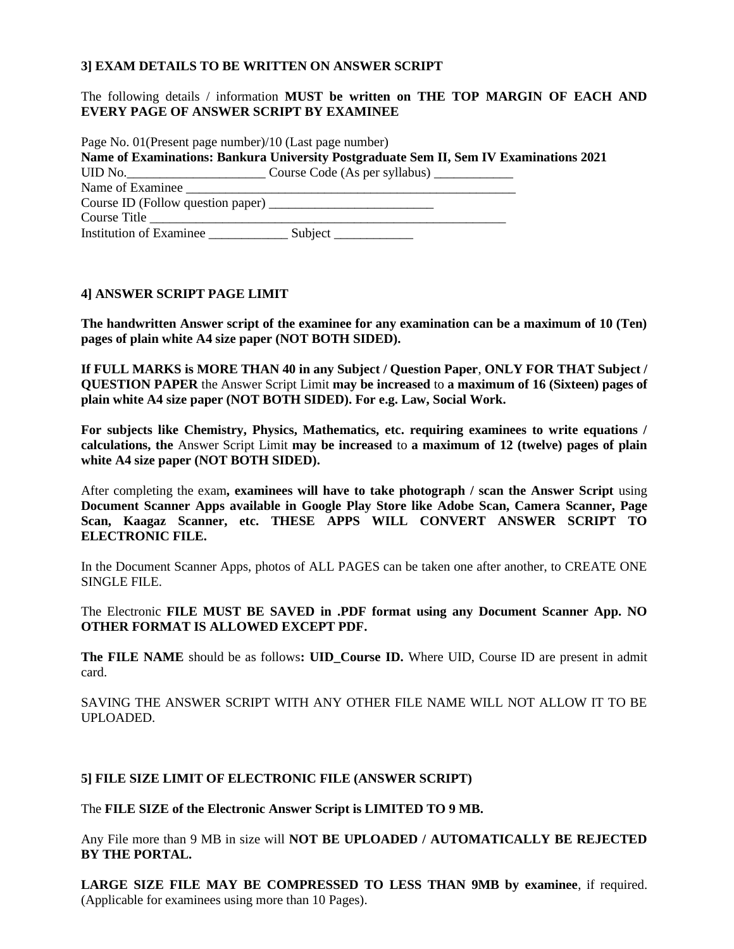### **3] EXAM DETAILS TO BE WRITTEN ON ANSWER SCRIPT**

### The following details / information **MUST be written on THE TOP MARGIN OF EACH AND EVERY PAGE OF ANSWER SCRIPT BY EXAMINEE**

| Page No. 01 (Present page number)/10 (Last page number) |                                                                                        |  |
|---------------------------------------------------------|----------------------------------------------------------------------------------------|--|
|                                                         | Name of Examinations: Bankura University Postgraduate Sem II, Sem IV Examinations 2021 |  |
|                                                         | UID No. _______________________________Course Code (As per syllabus) ____________      |  |
| Name of Examinee                                        |                                                                                        |  |
| Course ID (Follow question paper)                       |                                                                                        |  |
| Course Title                                            |                                                                                        |  |
|                                                         |                                                                                        |  |

#### **4] ANSWER SCRIPT PAGE LIMIT**

**The handwritten Answer script of the examinee for any examination can be a maximum of 10 (Ten) pages of plain white A4 size paper (NOT BOTH SIDED).** 

**If FULL MARKS is MORE THAN 40 in any Subject / Question Paper**, **ONLY FOR THAT Subject / QUESTION PAPER** the Answer Script Limit **may be increased** to **a maximum of 16 (Sixteen) pages of plain white A4 size paper (NOT BOTH SIDED). For e.g. Law, Social Work.**

**For subjects like Chemistry, Physics, Mathematics, etc. requiring examinees to write equations / calculations, the** Answer Script Limit **may be increased** to **a maximum of 12 (twelve) pages of plain white A4 size paper (NOT BOTH SIDED).**

After completing the exam**, examinees will have to take photograph / scan the Answer Script** using **Document Scanner Apps available in Google Play Store like Adobe Scan, Camera Scanner, Page Scan, Kaagaz Scanner, etc. THESE APPS WILL CONVERT ANSWER SCRIPT TO ELECTRONIC FILE.**

In the Document Scanner Apps, photos of ALL PAGES can be taken one after another, to CREATE ONE SINGLE FILE.

The Electronic **FILE MUST BE SAVED in .PDF format using any Document Scanner App. NO OTHER FORMAT IS ALLOWED EXCEPT PDF.**

**The FILE NAME** should be as follows**: UID\_Course ID.** Where UID, Course ID are present in admit card.

SAVING THE ANSWER SCRIPT WITH ANY OTHER FILE NAME WILL NOT ALLOW IT TO BE UPLOADED.

#### **5] FILE SIZE LIMIT OF ELECTRONIC FILE (ANSWER SCRIPT)**

The **FILE SIZE of the Electronic Answer Script is LIMITED TO 9 MB.**

Any File more than 9 MB in size will **NOT BE UPLOADED / AUTOMATICALLY BE REJECTED BY THE PORTAL.**

**LARGE SIZE FILE MAY BE COMPRESSED TO LESS THAN 9MB by examinee**, if required. (Applicable for examinees using more than 10 Pages).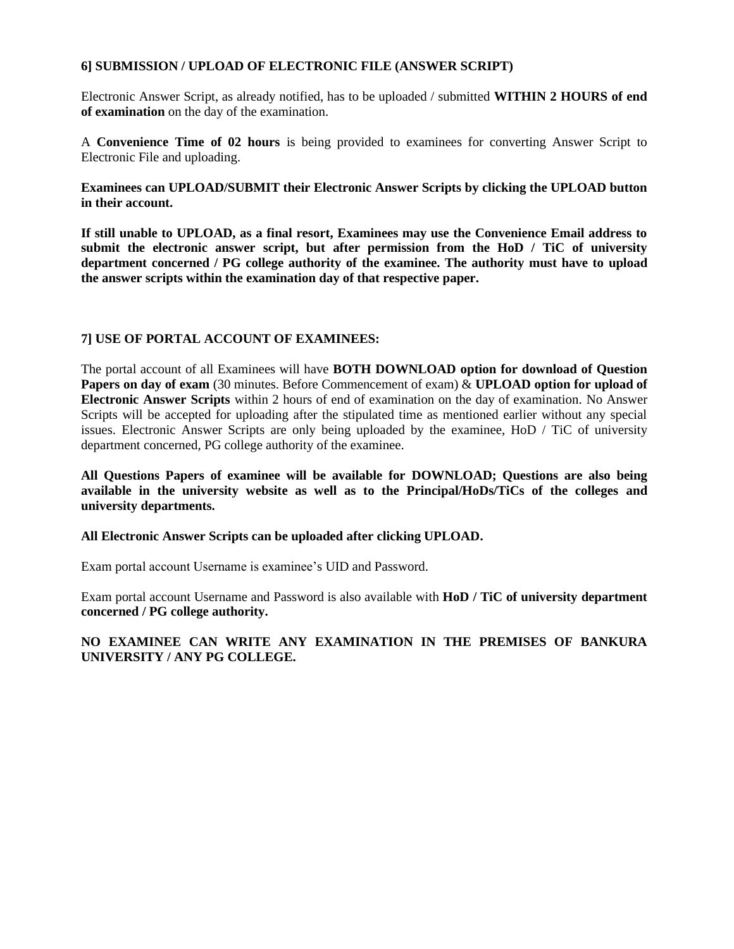### **6] SUBMISSION / UPLOAD OF ELECTRONIC FILE (ANSWER SCRIPT)**

Electronic Answer Script, as already notified, has to be uploaded / submitted **WITHIN 2 HOURS of end of examination** on the day of the examination.

A **Convenience Time of 02 hours** is being provided to examinees for converting Answer Script to Electronic File and uploading.

**Examinees can UPLOAD/SUBMIT their Electronic Answer Scripts by clicking the UPLOAD button in their account.**

**If still unable to UPLOAD, as a final resort, Examinees may use the Convenience Email address to submit the electronic answer script, but after permission from the HoD / TiC of university department concerned / PG college authority of the examinee. The authority must have to upload the answer scripts within the examination day of that respective paper.**

### **7] USE OF PORTAL ACCOUNT OF EXAMINEES:**

The portal account of all Examinees will have **BOTH DOWNLOAD option for download of Question Papers on day of exam** (30 minutes. Before Commencement of exam) & **UPLOAD option for upload of Electronic Answer Scripts** within 2 hours of end of examination on the day of examination. No Answer Scripts will be accepted for uploading after the stipulated time as mentioned earlier without any special issues. Electronic Answer Scripts are only being uploaded by the examinee, HoD / TiC of university department concerned, PG college authority of the examinee.

**All Questions Papers of examinee will be available for DOWNLOAD; Questions are also being available in the university website as well as to the Principal/HoDs/TiCs of the colleges and university departments.**

### **All Electronic Answer Scripts can be uploaded after clicking UPLOAD.**

Exam portal account Username is examinee's UID and Password.

Exam portal account Username and Password is also available with **HoD / TiC of university department concerned / PG college authority.**

### **NO EXAMINEE CAN WRITE ANY EXAMINATION IN THE PREMISES OF BANKURA UNIVERSITY / ANY PG COLLEGE.**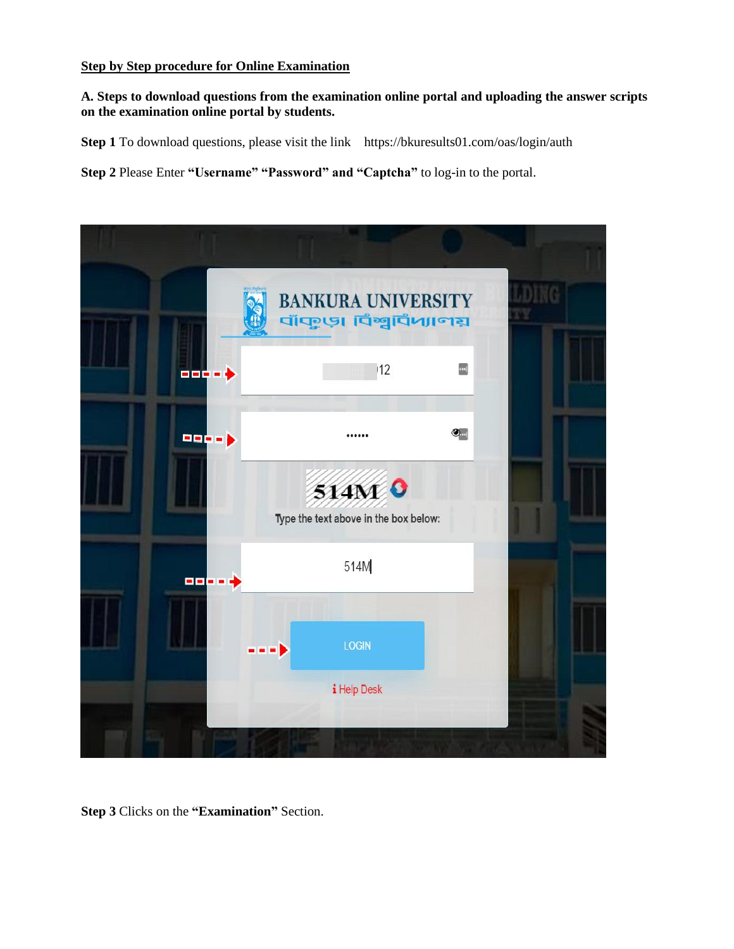## **Step by Step procedure for Online Examination**

**A. Steps to download questions from the examination online portal and uploading the answer scripts on the examination online portal by students.**

**Step 1** To download questions, please visit the link https://bkuresults01.com/oas/login/auth

**Step 2** Please Enter **"Username" "Password" and "Captcha"** to log-in to the portal.



**Step 3** Clicks on the **"Examination"** Section.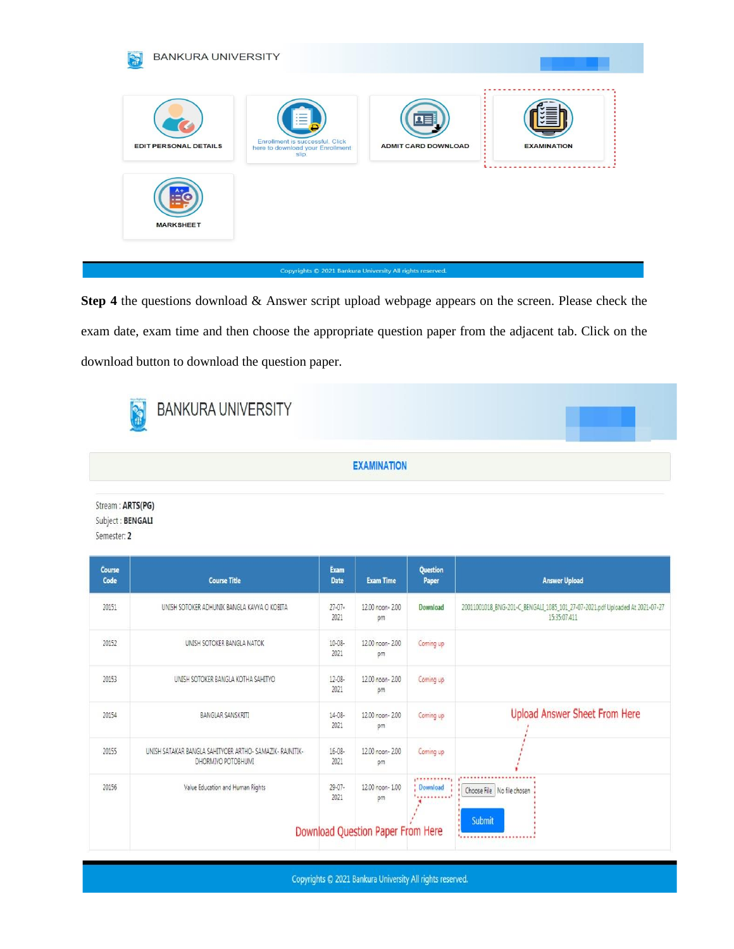

**Step 4** the questions download & Answer script upload webpage appears on the screen. Please check the exam date, exam time and then choose the appropriate question paper from the adjacent tab. Click on the download button to download the question paper.

| <b>BANKURA UNIVERSITY</b> |                                                                                   |  |
|---------------------------|-----------------------------------------------------------------------------------|--|
|                           | <b>EXAMINATION</b><br>the control of the control of the control of the control of |  |

Stream : ARTS(PG) Subject: BENGALI Semester: 2

| Course<br>Code | <b>Course Title</b>                                                            | Exam<br>Date        | <b>Exam Time</b>                  | Question<br>Paper            | <b>Answer Upload</b>                                                                         |
|----------------|--------------------------------------------------------------------------------|---------------------|-----------------------------------|------------------------------|----------------------------------------------------------------------------------------------|
| 20151          | UNISH SOTOKER ADHUNIK BANGLA KAVYA O KOBITA                                    | $27-07-$<br>2021    | 12.00 noon- 2.00<br>pm            | Download                     | 20011001018_BNG-201-C_BENGALI_1085_101_27-07-2021.pdf Uploaded At 2021-07-27<br>15:35:07.411 |
| 20152          | UNISH SOTOKER BANGLA NATOK                                                     | 10-08-<br>2021      | 12.00 noon- 2.00<br>pm            | Coming up                    |                                                                                              |
| 20153          | UNISH SOTOKER BANGLA KOTHA SAHITYO                                             | $12 - 08 -$<br>2021 | 12.00 noon- 2.00<br>pm            | Coming up                    |                                                                                              |
| 20154          | BANGLAR SANSKRITI                                                              | $14 - 08 -$<br>2021 | 12.00 noon- 2.00<br>pm            | Coming up                    | <b>Upload Answer Sheet From Here</b>                                                         |
| 20155          | UNISH SATAKAR BANGLA SAHITYOER ARTHO- SAMAZIK- RAJNITIK-<br>DHORMIYO POTOBHUMI | $16 - 08 -$<br>2021 | 12.00 noon- 2.00<br>pm            | Coming up                    |                                                                                              |
| 20156          | Value Education and Human Rights                                               | $29-07-$<br>2021    | 12.00 noon- 1.00<br>pm            | ,,,,,,,,,,,,<br>Download<br> | Choose File No file chosen<br>Submit                                                         |
|                |                                                                                |                     | Download Question Paper From Here |                              |                                                                                              |

Copyrights © 2021 Bankura University All rights reserved.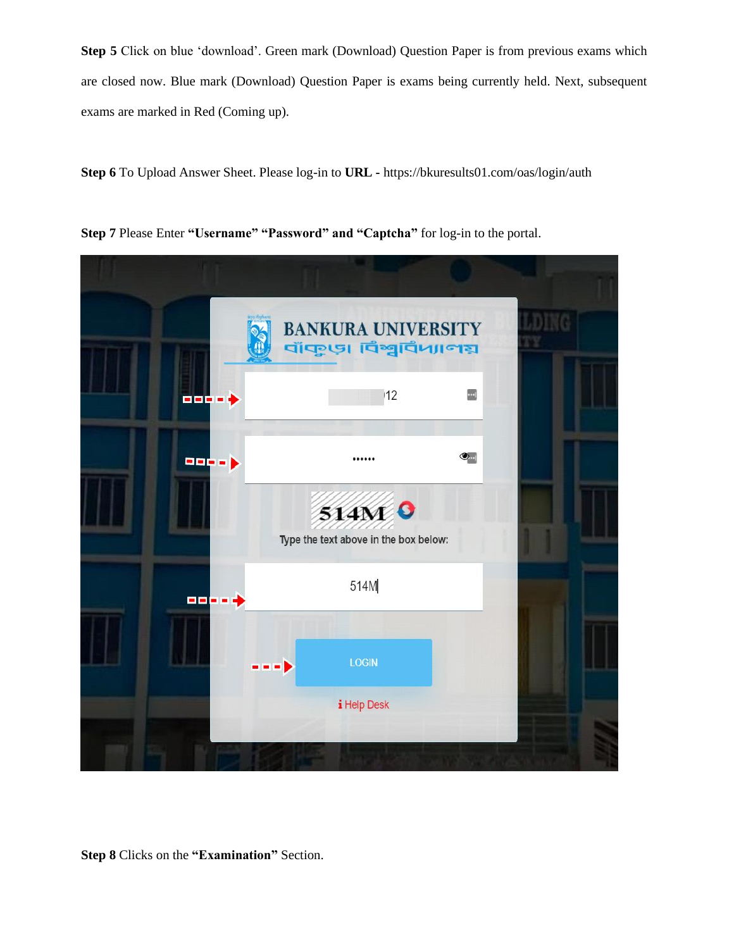**Step 5** Click on blue 'download'. Green mark (Download) Question Paper is from previous exams which are closed now. Blue mark (Download) Question Paper is exams being currently held. Next, subsequent exams are marked in Red (Coming up).

**Step 6** To Upload Answer Sheet. Please log-in to **URL -** https://bkuresults01.com/oas/login/auth

**Step 7** Please Enter **"Username" "Password" and "Captcha"** for log-in to the portal.



**Step 8** Clicks on the **"Examination"** Section.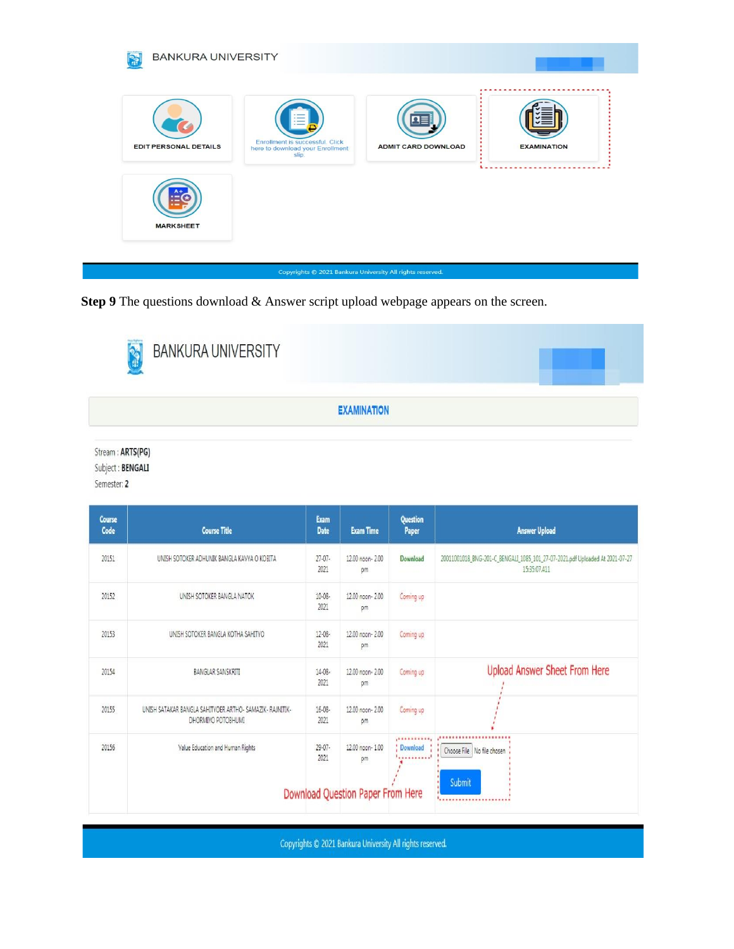

Step 9 The questions download & Answer script upload webpage appears on the screen.

| <b>BANKURA UNIVERSITY</b> |                    |  |
|---------------------------|--------------------|--|
|                           | <b>EXAMINATION</b> |  |

Stream : ARTS(PG) Subject: BENGALI

Semester: 2

| Course<br>Code | <b>Course Title</b>                                                            | Exam<br><b>Date</b> | <b>Exam Time</b>                  | Question<br>Paper               | <b>Answer Upload</b>                                                                         |
|----------------|--------------------------------------------------------------------------------|---------------------|-----------------------------------|---------------------------------|----------------------------------------------------------------------------------------------|
| 20151          | UNISH SOTOKER ADHUNIK BANGLA KAVYA O KOBITA                                    | $27-07-$<br>2021    | 12.00 noon- 2.00<br>pm            | Download                        | 20011001018_BNG-201-C_BENGALI_1085_101_27-07-2021.pdf Uploaded At 2021-07-27<br>15:35:07.411 |
| 20152          | UNISH SOTOKER BANGLA NATOK                                                     | 10-08-<br>2021      | 12.00 noon- 2.00<br>pm            | Coming up                       |                                                                                              |
| 20153          | UNISH SOTOKER BANGLA KOTHA SAHITYO                                             | $12 - 08 -$<br>2021 | 12.00 noon- 2.00<br>pm            | Coming up                       |                                                                                              |
| 20154          | BANGLAR SANSKRITI                                                              | $14-08-$<br>2021    | 12.00 noon- 2.00<br>pm            | Coming up                       | <b>Upload Answer Sheet From Here</b>                                                         |
| 20155          | UNISH SATAKAR BANGLA SAHITYOER ARTHO- SAMAZIK- RAJNITIK-<br>DHORMIYO POTOBHUMI | $16 - 08 -$<br>2021 | 12.00 noon- 2.00<br>pm            | Coming up                       |                                                                                              |
| 20156          | Value Education and Human Rights                                               | $29-07-$<br>2021    | 12.00 noon- 1.00<br>pm            | ,,,,,,,,,,,,<br><b>Download</b> | ,,,,,,,,,,,,,,,,,,,,,,,<br>Choose File No file chosen                                        |
|                |                                                                                |                     | Download Question Paper From Here |                                 | Submit<br><u> '</u>                                                                          |

Copyrights C 2021 Bankura University All rights reserved.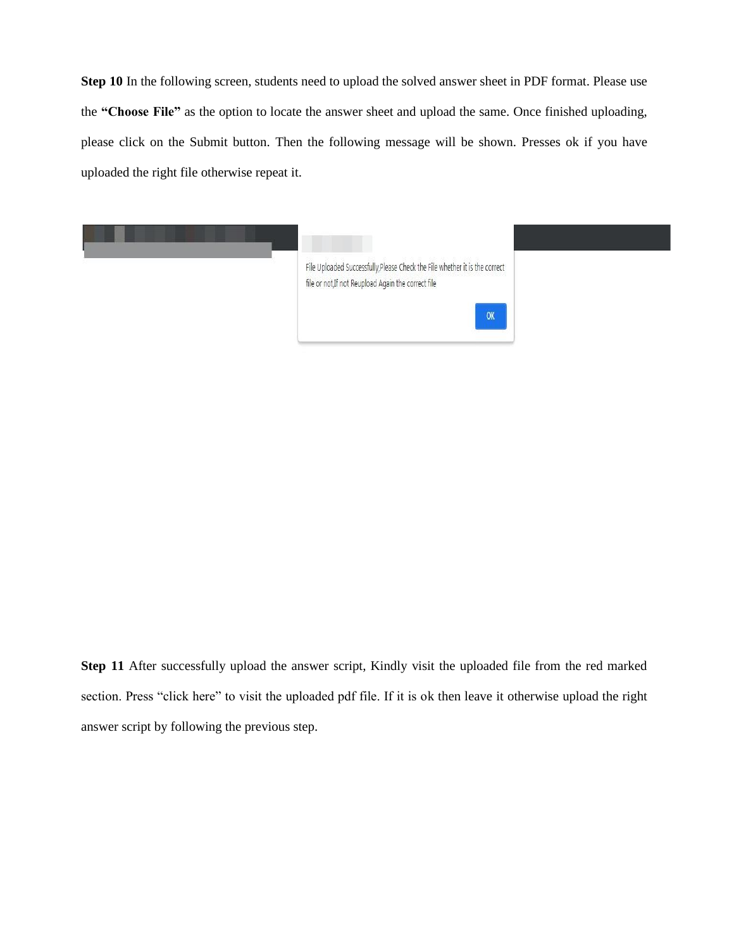**Step 10** In the following screen, students need to upload the solved answer sheet in PDF format. Please use the **"Choose File"** as the option to locate the answer sheet and upload the same. Once finished uploading, please click on the Submit button. Then the following message will be shown. Presses ok if you have uploaded the right file otherwise repeat it.



**Step 11** After successfully upload the answer script, Kindly visit the uploaded file from the red marked section. Press "click here" to visit the uploaded pdf file. If it is ok then leave it otherwise upload the right answer script by following the previous step.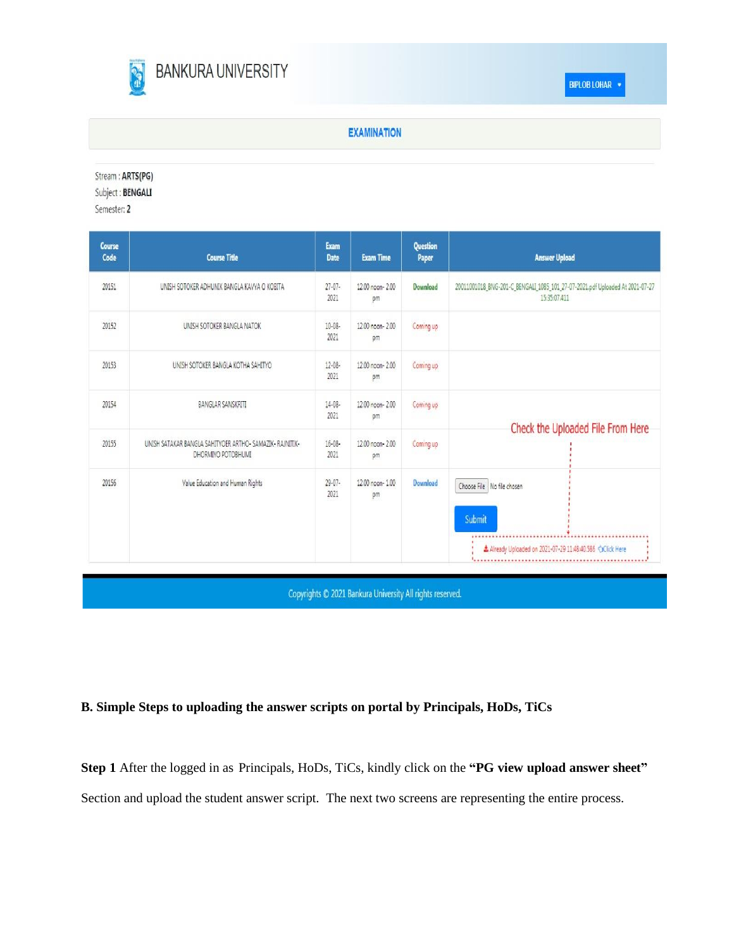

### **EXAMINATION**

Stream: ARTS(PG)

Subject: BENGALI

Semester: 2

| Course<br>Code | <b>Course Title</b>                                                            | Exam<br><b>Date</b> | <b>Exam Time</b>       | <b>Question</b><br>Paper | <b>Answer Upload</b>                                                                                     |
|----------------|--------------------------------------------------------------------------------|---------------------|------------------------|--------------------------|----------------------------------------------------------------------------------------------------------|
| 20151          | UNISH SOTOKER ADHUNIK BANGLA KAVYA O KOBITA                                    | $27-07-$<br>2021    | 12.00 noon- 2.00<br>pm | Download                 | 20011001018_BNG-201-C_BENGALI_1085_101_27-07-2021.pdf Uploaded At 2021-07-27<br>15:35:07.411             |
| 20152          | UNISH SOTOKER BANGLA NATOK                                                     | 10-08-<br>2021      | 12.00 noon- 2.00<br>pm | Coming up                |                                                                                                          |
| 20153          | UNISH SOTOKER BANGLA KOTHA SAHITYO                                             | $12 - 08 -$<br>2021 | 12.00 noon- 2.00<br>pm | Coming up                |                                                                                                          |
| 20154          | <b>BANGLAR SANSKRITI</b>                                                       | $14 - 08 -$<br>2021 | 12.00 noon- 2.00<br>pm | Coming up                | Check the Uploaded File From Here                                                                        |
| 20155          | UNISH SATAKAR BANGLA SAHITYOER ARTHO- SAMAZIK- RAJNITIK-<br>DHORMIYO POTOBHUMI | $16 - 08 -$<br>2021 | 12.00 noon- 2.00<br>pm | Coming up                |                                                                                                          |
| 20156          | Value Education and Human Rights                                               | $29 - 07 -$<br>2021 | 12.00 noon- 1.00<br>pm | Download                 | Choose File   No file chosen<br>Submit<br>Already Uploaded on 2021-07-29 11:48:40.586<br>xClick Here<br> |

Copyrights @ 2021 Bankura University All rights reserved.

# **B. Simple Steps to uploading the answer scripts on portal by Principals, HoDs, TiCs**

**Step 1** After the logged in as Principals, HoDs, TiCs, kindly click on the **"PG view upload answer sheet"**  Section and upload the student answer script. The next two screens are representing the entire process.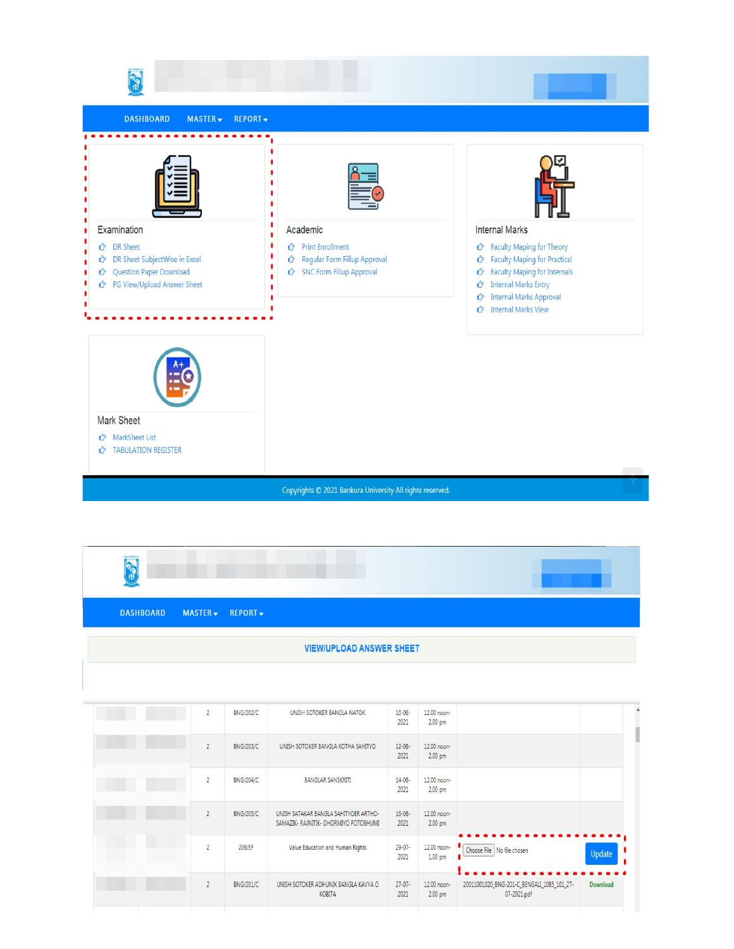

| <b>DASHBOARD</b> |                | MASTER - REPORT - |                                    |                     |                                   |  |
|------------------|----------------|-------------------|------------------------------------|---------------------|-----------------------------------|--|
|                  |                |                   | <b>VIEW/UPLOAD ANSWER SHEET</b>    |                     |                                   |  |
|                  |                |                   |                                    |                     |                                   |  |
|                  | $\overline{2}$ | BNG/202/C         | UNISH SOTOKER BANGLA NATOK         | $10 - 08 -$<br>2021 | 12.00 noon-<br>2.00 pm            |  |
|                  | $\overline{2}$ | BNG/203/C         | UNISH SOTOKER BANGLA KOTHA SAHITYO | $12 - 08 -$<br>2021 | 12.00 noon-<br>$200 \, \text{nm}$ |  |

|                |                  |                                                                                | ----                | ---------              |                                                           |               |
|----------------|------------------|--------------------------------------------------------------------------------|---------------------|------------------------|-----------------------------------------------------------|---------------|
| $\overline{2}$ | BNG/203/C        | UNISH SOTOKER BANGLA KOTHA SAHITYO                                             | $12 - 08 -$<br>2021 | 12.00 noon-<br>2.00 pm |                                                           |               |
| $\overline{c}$ | <b>BNG/204/C</b> | <b>BANGLAR SANSKRITI</b>                                                       | $14 - 08 -$<br>2021 | 12.00 noon-<br>2.00 pm |                                                           |               |
| $\overline{2}$ | BNG/205/C        | UNISH SATAKAR BANGLA SAHITYOER ARTHO-<br>SAMAZIK- RAJNITIK- DHORMIYO POTOBHUMI | $16 - 08 -$<br>2021 | 12.00 noon-<br>2.00 pm |                                                           |               |
| $\overline{c}$ | 206/EF           | Value Education and Human Rights                                               | $29 - 07 -$<br>2021 | 12.00 noon-<br>1.00 pm | Choose File No file chosen                                | <b>Update</b> |
| $\overline{2}$ | BNG/201/C        | UNISH SOTOKER ADHUNIK BANGLA KAVYA O<br>KOBITA                                 | $27 - 07 -$<br>2021 | 12.00 noon-<br>2.00 pm | 20011001020_BNG-201-C_BENGALI_1085_101_27-<br>07-2021.pdf | Download      |
|                |                  |                                                                                |                     |                        |                                                           |               |